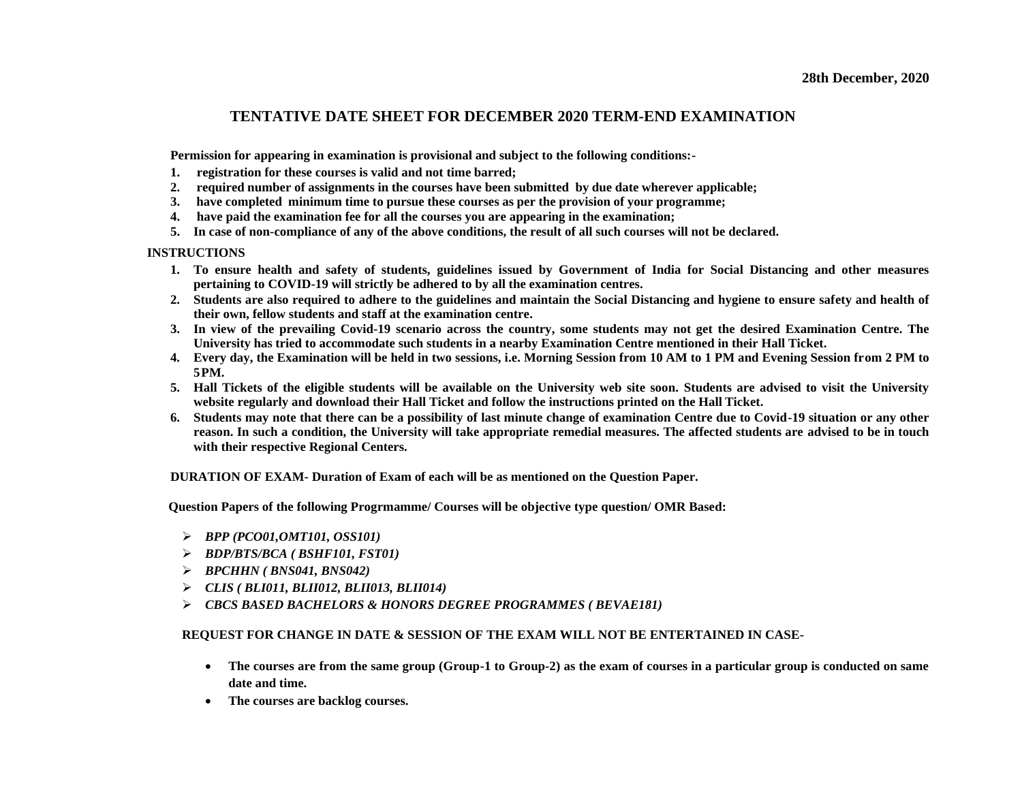## **TENTATIVE DATE SHEET FOR DECEMBER 2020 TERM-END EXAMINATION**

**Permission for appearing in examination is provisional and subject to the following conditions:-**

- **1. registration for these courses is valid and not time barred;**
- **2. required number of assignments in the courses have been submitted by due date wherever applicable;**
- **3. have completed minimum time to pursue these courses as per the provision of your programme;**
- **4. have paid the examination fee for all the courses you are appearing in the examination;**
- **5. In case of non-compliance of any of the above conditions, the result of all such courses will not be declared.**

## **INSTRUCTIONS**

- **1. To ensure health and safety of students, guidelines issued by Government of India for Social Distancing and other measures pertaining to COVID-19 will strictly be adhered to by all the examination centres.**
- **2. Students are also required to adhere to the guidelines and maintain the Social Distancing and hygiene to ensure safety and health of their own, fellow students and staff at the examination centre.**
- 3. In view of the prevailing Covid-19 scenario across the country, some students may not get the desired Examination Centre. The **University has tried to accommodate such students in a nearby Examination Centre mentioned in their Hall Ticket.**
- **4. Every day, the Examination will be held in two sessions, i.e. Morning Session from 10 AM to 1 PM and Evening Session from 2 PM to 5PM.**
- **5. Hall Tickets of the eligible students will be available on the University web site soon. Students are advised to visit the University website regularly and download their Hall Ticket and follow the instructions printed on the Hall Ticket.**
- **6. Students may note that there can be a possibility of last minute change of examination Centre due to Covid-19 situation or any other reason. In such a condition, the University will take appropriate remedial measures. The affected students are advised to be in touch with their respective Regional Centers.**

**DURATION OF EXAM- Duration of Exam of each will be as mentioned on the Question Paper.** 

**Question Papers of the following Progrmamme/ Courses will be objective type question/ OMR Based:**

- ➢ *BPP (PCO01,OMT101, OSS101)*
- ➢ *BDP/BTS/BCA ( BSHF101, FST01)*
- ➢ *BPCHHN ( BNS041, BNS042)*
- ➢ *CLIS ( BLI011, BLII012, BLII013, BLII014)*
- ➢ *CBCS BASED BACHELORS & HONORS DEGREE PROGRAMMES ( BEVAE181)*

## **REQUEST FOR CHANGE IN DATE & SESSION OF THE EXAM WILL NOT BE ENTERTAINED IN CASE-**

- **The courses are from the same group (Group-1 to Group-2) as the exam of courses in a particular group is conducted on same date and time.**
- **The courses are backlog courses.**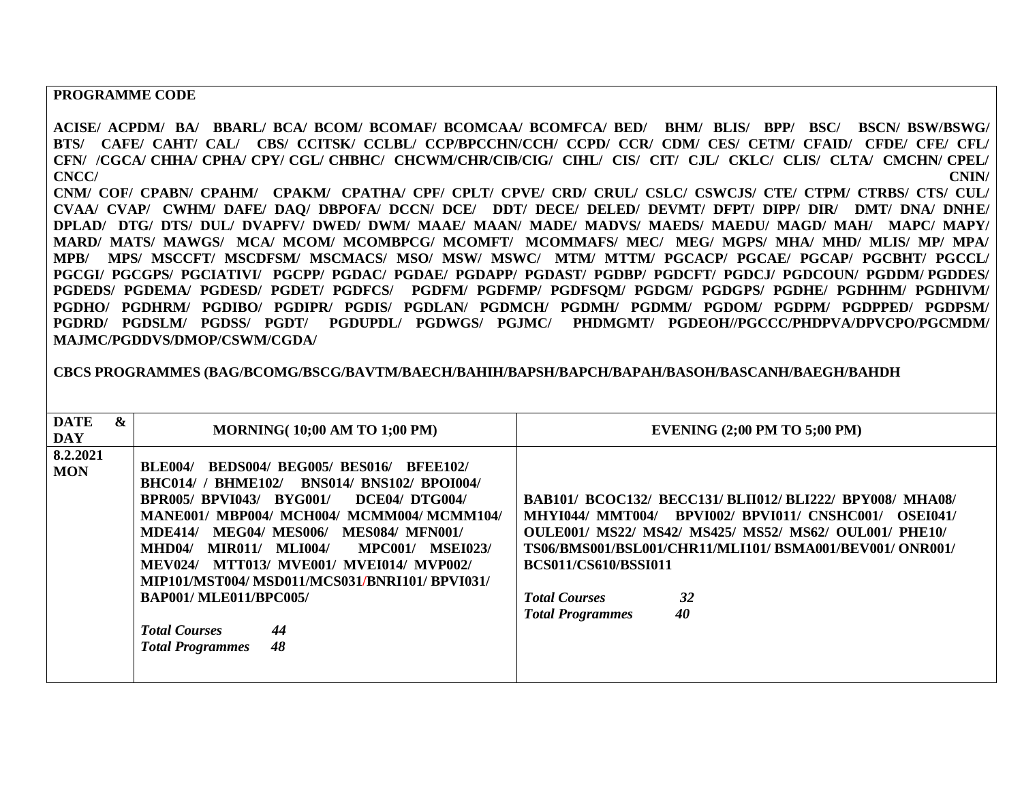## **PROGRAMME CODE**

**ACISE/ ACPDM/ BA/ BBARL/ BCA/ BCOM/ BCOMAF/ BCOMCAA/ BCOMFCA/ BED/ BHM/ BLIS/ BPP/ BSC/ BSCN/ BSW/BSWG/ BTS/ CAFE/ CAHT/ CAL/ CBS/ CCITSK/ CCLBL/ CCP/BPCCHN/CCH/ CCPD/ CCR/ CDM/ CES/ CETM/ CFAID/ CFDE/ CFE/ CFL/ CFN/ /CGCA/ CHHA/ CPHA/ CPY/ CGL/ CHBHC/ CHCWM/CHR/CIB/CIG/ CIHL/ CIS/ CIT/ CJL/ CKLC/ CLIS/ CLTA/ CMCHN/ CPEL/ CNCC/ CNIN/** 

**CNM/ COF/ CPABN/ CPAHM/ CPAKM/ CPATHA/ CPF/ CPLT/ CPVE/ CRD/ CRUL/ CSLC/ CSWCJS/ CTE/ CTPM/ CTRBS/ CTS/ CUL/ CVAA/ CVAP/ CWHM/ DAFE/ DAQ/ DBPOFA/ DCCN/ DCE/ DDT/ DECE/ DELED/ DEVMT/ DFPT/ DIPP/ DIR/ DMT/ DNA/ DNHE/ DPLAD/ DTG/ DTS/ DUL/ DVAPFV/ DWED/ DWM/ MAAE/ MAAN/ MADE/ MADVS/ MAEDS/ MAEDU/ MAGD/ MAH/ MAPC/ MAPY/ MARD/ MATS/ MAWGS/ MCA/ MCOM/ MCOMBPCG/ MCOMFT/ MCOMMAFS/ MEC/ MEG/ MGPS/ MHA/ MHD/ MLIS/ MP/ MPA/ MPB/ MPS/ MSCCFT/ MSCDFSM/ MSCMACS/ MSO/ MSW/ MSWC/ MTM/ MTTM/ PGCACP/ PGCAE/ PGCAP/ PGCBHT/ PGCCL/ PGCGI/ PGCGPS/ PGCIATIVI/ PGCPP/ PGDAC/ PGDAE/ PGDAPP/ PGDAST/ PGDBP/ PGDCFT/ PGDCJ/ PGDCOUN/ PGDDM/ PGDDES/ PGDEDS/ PGDEMA/ PGDESD/ PGDET/ PGDFCS/ PGDFM/ PGDFMP/ PGDFSQM/ PGDGM/ PGDGPS/ PGDHE/ PGDHHM/ PGDHIVM/ PGDHO/ PGDHRM/ PGDIBO/ PGDIPR/ PGDIS/ PGDLAN/ PGDMCH/ PGDMH/ PGDMM/ PGDOM/ PGDPM/ PGDPPED/ PGDPSM/ PGDRD/ PGDSLM/ PGDSS/ PGDT/ PGDUPDL/ PGDWGS/ PGJMC/ PHDMGMT/ PGDEOH//PGCCC/PHDPVA/DPVCPO/PGCMDM/ MAJMC/PGDDVS/DMOP/CSWM/CGDA/**

**CBCS PROGRAMMES (BAG/BCOMG/BSCG/BAVTM/BAECH/BAHIH/BAPSH/BAPCH/BAPAH/BASOH/BASCANH/BAEGH/BAHDH**

| <b>DATE</b><br><b>DAY</b> | & | <b>MORNING(10;00 AM TO 1;00 PM)</b>                                                                                                                                                                                                                                                                                                                                                                                                                                                                                                                               | <b>EVENING (2;00 PM TO 5;00 PM)</b>                                                                                                                                                                                                                                                                                                                                 |
|---------------------------|---|-------------------------------------------------------------------------------------------------------------------------------------------------------------------------------------------------------------------------------------------------------------------------------------------------------------------------------------------------------------------------------------------------------------------------------------------------------------------------------------------------------------------------------------------------------------------|---------------------------------------------------------------------------------------------------------------------------------------------------------------------------------------------------------------------------------------------------------------------------------------------------------------------------------------------------------------------|
| 8.2.2021<br><b>MON</b>    |   | <b>BEDS004/ BEG005/ BES016/ BFEE102/</b><br><b>BLE004/</b><br><b>BHC014/ / BHME102/</b><br><b>BNS014/ BNS102/ BPOI004/</b><br><b>BPR005/ BPVI043/ BYG001/</b><br>DCE04/DTG004/<br>MANE001/ MBP004/ MCH004/ MCMM004/ MCMM104/<br><b>MEG04/ MES006/ MES084/ MFN001/</b><br><b>MDE414/</b><br>MLI004/<br>$MHD04/$ $MIR011/$<br><b>MPC001/</b><br><b>MSEI023/</b><br><b>MEV024/ MTT013/ MVE001/ MVEI014/ MVP002/</b><br>MIP101/MST004/ MSD011/MCS031/BNRI101/ BPVI031/<br><b>BAP001/MLE011/BPC005/</b><br><b>Total Courses</b><br>44<br>48<br><b>Total Programmes</b> | <b>BAB101/ BCOC132/ BECC131/ BLII012/ BLI222/ BPY008/ MHA08/</b><br><b>MHYI044/ MMT004/ BPVI002/ BPVI011/ CNSHC001/</b><br><b>OSEI041/</b><br><b>OULE001/ MS22/ MS42/ MS425/ MS52/ MS62/ OUL001/ PHE10/</b><br>TS06/BMS001/BSL001/CHR11/MLI101/BSMA001/BEV001/ONR001/<br><b>BCS011/CS610/BSSI011</b><br><b>Total Courses</b><br>32<br>40<br><b>Total Programmes</b> |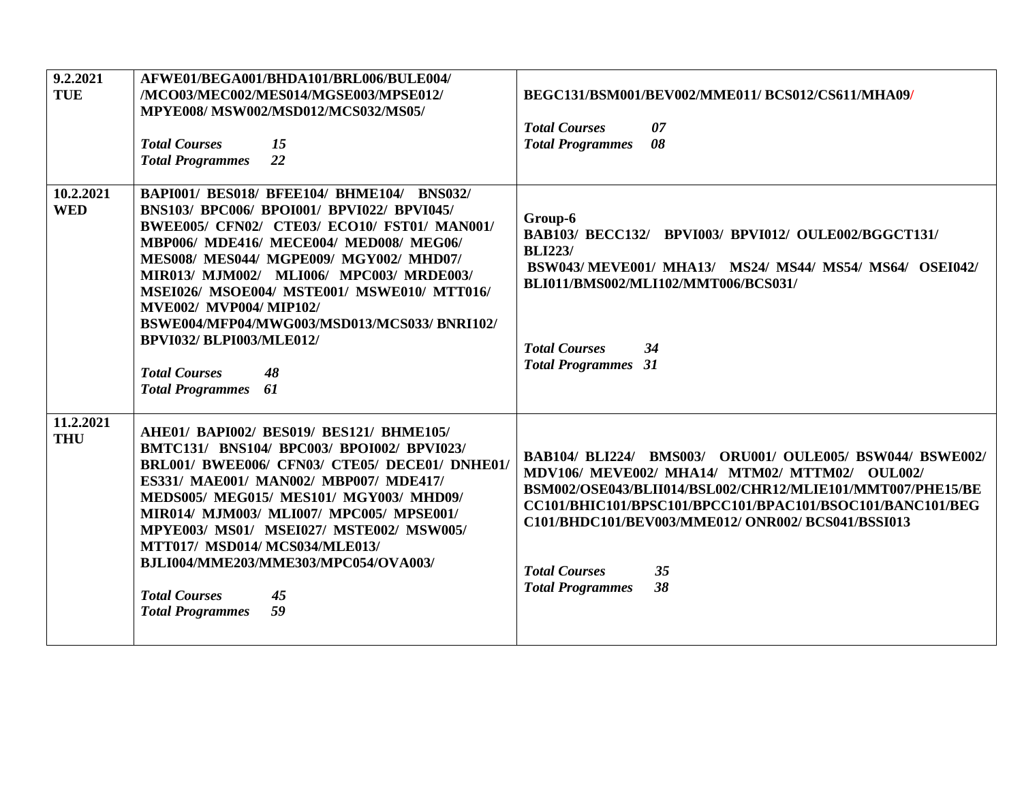| 9.2.2021<br><b>TUE</b>  | AFWE01/BEGA001/BHDA101/BRL006/BULE004/<br>/MCO03/MEC002/MES014/MGSE003/MPSE012/<br>MPYE008/MSW002/MSD012/MCS032/MS05/<br><b>Total Courses</b><br>15<br>22<br><b>Total Programmes</b>                                                                                                                                                                                                                                                                                                                               | BEGC131/BSM001/BEV002/MME011/BCS012/CS611/MHA09/<br><b>Total Courses</b><br>07<br>08<br><b>Total Programmes</b>                                                                                                                                                                                                                                             |
|-------------------------|--------------------------------------------------------------------------------------------------------------------------------------------------------------------------------------------------------------------------------------------------------------------------------------------------------------------------------------------------------------------------------------------------------------------------------------------------------------------------------------------------------------------|-------------------------------------------------------------------------------------------------------------------------------------------------------------------------------------------------------------------------------------------------------------------------------------------------------------------------------------------------------------|
| 10.2.2021<br><b>WED</b> | <b>BAPI001/ BES018/ BFEE104/ BHME104/ BNS032/</b><br>BNS103/ BPC006/ BPOI001/ BPVI022/ BPVI045/<br>BWEE005/ CFN02/ CTE03/ ECO10/ FST01/ MAN001/<br>MBP006/ MDE416/ MECE004/ MED008/ MEG06/<br>MES008/ MES044/ MGPE009/ MGY002/ MHD07/<br>MIR013/ MJM002/ MLI006/ MPC003/ MRDE003/<br>MSEI026/ MSOE004/ MSTE001/ MSWE010/ MTT016/<br><b>MVE002/ MVP004/ MIP102/</b><br>BSWE004/MFP04/MWG003/MSD013/MCS033/BNRI102/<br><b>BPVI032/BLPI003/MLE012/</b><br><b>Total Courses</b><br>48<br>61<br><b>Total Programmes</b> | Group-6<br>BAB103/ BECC132/ BPVI003/ BPVI012/ OULE002/BGGCT131/<br><b>BLI223/</b><br>BSW043/MEVE001/MHA13/MS24/MS44/MS54/MS64/OSEI042/<br>BLI011/BMS002/MLI102/MMT006/BCS031/<br><b>Total Courses</b><br>34<br><b>Total Programmes</b> 31                                                                                                                   |
| 11.2.2021<br><b>THU</b> | AHE01/ BAPI002/ BES019/ BES121/ BHME105/<br>BMTC131/ BNS104/ BPC003/ BPOI002/ BPVI023/<br>BRL001/ BWEE006/ CFN03/ CTE05/ DECE01/ DNHE01/<br>ES331/ MAE001/ MAN002/ MBP007/ MDE417/<br>MEDS005/ MEG015/ MES101/ MGY003/ MHD09/<br>MIR014/ MJM003/ MLI007/ MPC005/ MPSE001/<br>MPYE003/ MS01/ MSEI027/ MSTE002/ MSW005/<br>MTT017/ MSD014/ MCS034/MLE013/<br>BJLI004/MME203/MME303/MPC054/OVA003/<br><b>Total Courses</b><br>45<br>59<br><b>Total Programmes</b>                                                     | BAB104/ BLI224/ BMS003/ ORU001/ OULE005/ BSW044/ BSWE002/<br>MDV106/ MEVE002/ MHA14/ MTM02/ MTTM02/ OUL002/<br>BSM002/OSE043/BLII014/BSL002/CHR12/MLIE101/MMT007/PHE15/BE<br>CC101/BHIC101/BPSC101/BPCC101/BPAC101/BSOC101/BANC101/BEG<br>C101/BHDC101/BEV003/MME012/ ONR002/ BCS041/BSSI013<br><b>Total Courses</b><br>35<br>38<br><b>Total Programmes</b> |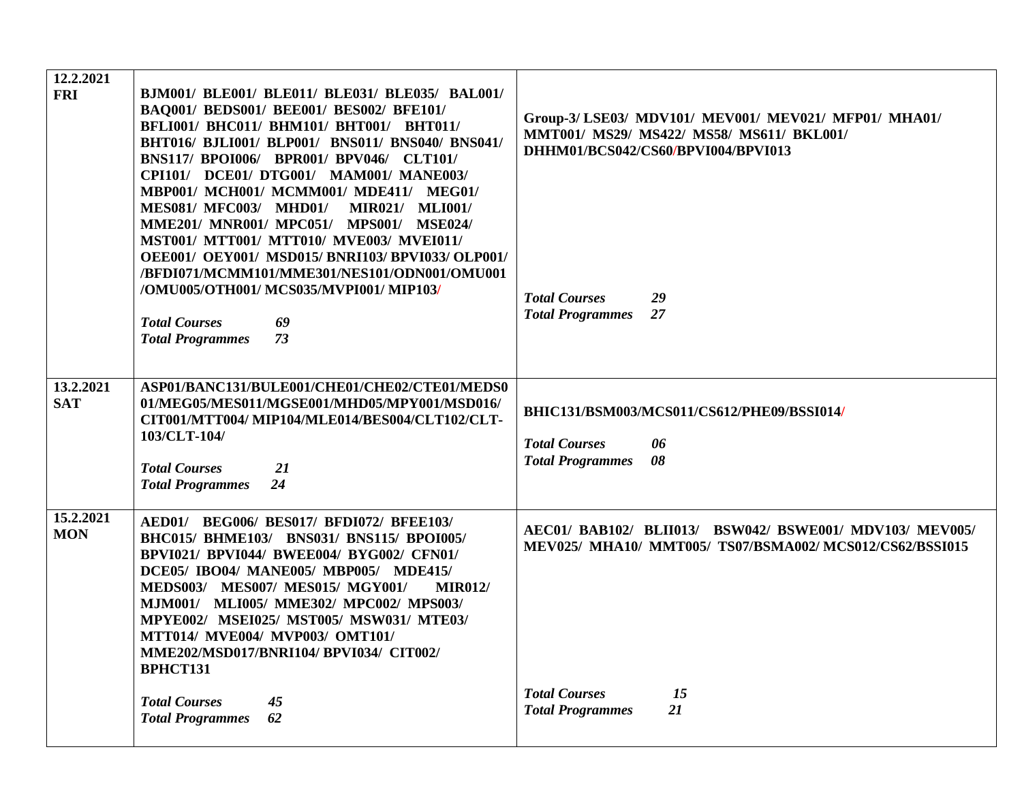| 12.2.2021<br><b>FRI</b> | BJM001/ BLE001/ BLE011/ BLE031/ BLE035/ BAL001/<br>BAQ001/ BEDS001/ BEE001/ BES002/ BFE101/<br>BFLI001/ BHC011/ BHM101/ BHT001/ BHT011/<br>BHT016/ BJLI001/ BLP001/ BNS011/ BNS040/ BNS041/<br>BNS117/ BPOI006/ BPR001/ BPV046/ CLT101/<br>CPI101/ DCE01/ DTG001/ MAM001/ MANE003/<br>MBP001/ MCH001/ MCMM001/ MDE411/ MEG01/<br><b>MES081/ MFC003/ MHD01/</b><br><b>MIR021/ MLI001/</b>                                   | Group-3/LSE03/ MDV101/ MEV001/ MEV021/ MFP01/ MHA01/<br>MMT001/ MS29/ MS422/ MS58/ MS611/ BKL001/<br>DHHM01/BCS042/CS60/BPVI004/BPVI013 |
|-------------------------|----------------------------------------------------------------------------------------------------------------------------------------------------------------------------------------------------------------------------------------------------------------------------------------------------------------------------------------------------------------------------------------------------------------------------|-----------------------------------------------------------------------------------------------------------------------------------------|
|                         | MME201/ MNR001/ MPC051/ MPS001/ MSE024/<br>MST001/ MTT001/ MTT010/ MVE003/ MVEI011/<br>OEE001/ OEY001/ MSD015/ BNRI103/ BPVI033/ OLP001/<br>/BFDI071/MCMM101/MME301/NES101/ODN001/OMU001<br>/OMU005/OTH001/ MCS035/MVPI001/ MIP103/<br><b>Total Courses</b><br>69<br>73<br><b>Total Programmes</b>                                                                                                                         | <b>Total Courses</b><br>29<br>27<br><b>Total Programmes</b>                                                                             |
| 13.2.2021<br><b>SAT</b> | ASP01/BANC131/BULE001/CHE01/CHE02/CTE01/MEDS0<br>01/MEG05/MES011/MGSE001/MHD05/MPY001/MSD016/<br>CIT001/MTT004/ MIP104/MLE014/BES004/CLT102/CLT-<br>103/CLT-104/<br><b>Total Courses</b><br>21<br>24<br><b>Total Programmes</b>                                                                                                                                                                                            | BHIC131/BSM003/MCS011/CS612/PHE09/BSSI014/<br><b>Total Courses</b><br>06<br>08<br><b>Total Programmes</b>                               |
| 15.2.2021<br><b>MON</b> | AED01/ BEG006/ BES017/ BFDI072/ BFEE103/<br>BHC015/ BHME103/ BNS031/ BNS115/ BPOI005/<br>BPVI021/ BPVI044/ BWEE004/ BYG002/ CFN01/<br>DCE05/ IBO04/ MANE005/ MBP005/ MDE415/<br>MEDS003/ MES007/ MES015/ MGY001/<br><b>MIR012/</b><br>MJM001/ MLI005/ MME302/ MPC002/ MPS003/<br>MPYE002/ MSEI025/ MST005/ MSW031/ MTE03/<br>MTT014/ MVE004/ MVP003/ OMT101/<br>MME202/MSD017/BNRI104/ BPVI034/ CIT002/<br><b>BPHCT131</b> | AEC01/ BAB102/ BLII013/ BSW042/ BSWE001/ MDV103/ MEV005/<br>MEV025/ MHA10/ MMT005/ TS07/BSMA002/ MCS012/CS62/BSSI015                    |
|                         | <b>Total Courses</b><br>45<br>62<br><b>Total Programmes</b>                                                                                                                                                                                                                                                                                                                                                                | <b>Total Courses</b><br>15<br>21<br><b>Total Programmes</b>                                                                             |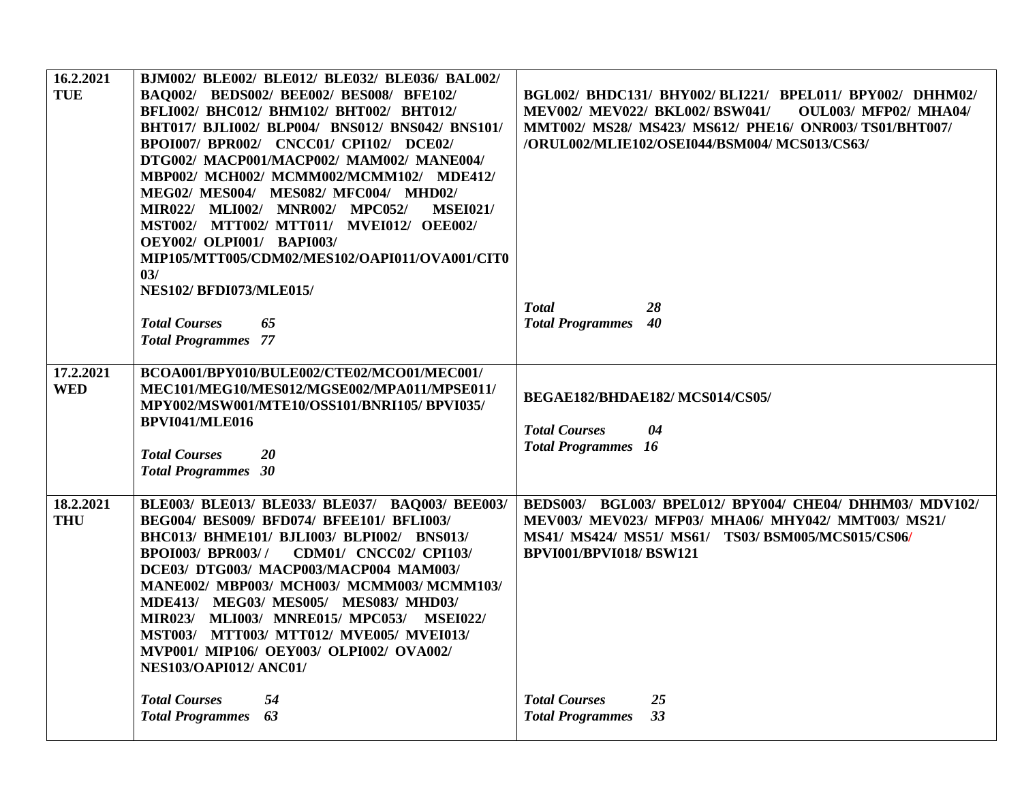| 16.2.2021<br><b>TUE</b> | BJM002/ BLE002/ BLE012/ BLE032/ BLE036/ BAL002/<br>BAQ002/ BEDS002/ BEE002/ BES008/ BFE102/<br>BFLI002/ BHC012/ BHM102/ BHT002/ BHT012/<br>BHT017/ BJLI002/ BLP004/ BNS012/ BNS042/ BNS101/<br>BPOI007/ BPR002/ CNCC01/ CPI102/ DCE02/<br>DTG002/ MACP001/MACP002/ MAM002/ MANE004/<br>MBP002/ MCH002/ MCMM002/MCMM102/ MDE412/<br>MEG02/ MES004/ MES082/ MFC004/ MHD02/<br><b>MSEI021/</b><br>MIR022/ MLI002/ MNR002/ MPC052/<br>MST002/ MTT002/ MTT011/ MVEI012/ OEE002/<br><b>OEY002/ OLPI001/ BAPI003/</b><br>MIP105/MTT005/CDM02/MES102/OAPI011/OVA001/CIT0<br>03/ | BGL002/ BHDC131/ BHY002/ BLI221/ BPEL011/ BPY002/ DHHM02/<br>MEV002/ MEV022/ BKL002/ BSW041/<br>OUL003/ MFP02/ MHA04/<br>MMT002/ MS28/ MS423/ MS612/ PHE16/ ONR003/ TS01/BHT007/<br>/ORUL002/MLIE102/OSEI044/BSM004/ MCS013/CS63/ |
|-------------------------|-------------------------------------------------------------------------------------------------------------------------------------------------------------------------------------------------------------------------------------------------------------------------------------------------------------------------------------------------------------------------------------------------------------------------------------------------------------------------------------------------------------------------------------------------------------------------|-----------------------------------------------------------------------------------------------------------------------------------------------------------------------------------------------------------------------------------|
|                         | <b>NES102/ BFDI073/MLE015/</b><br><b>Total Courses</b><br>65<br><b>Total Programmes</b> 77                                                                                                                                                                                                                                                                                                                                                                                                                                                                              | <b>Total</b><br>28<br><b>Total Programmes</b><br>40                                                                                                                                                                               |
| 17.2.2021<br><b>WED</b> | BCOA001/BPY010/BULE002/CTE02/MCO01/MEC001/<br>MEC101/MEG10/MES012/MGSE002/MPA011/MPSE011/<br>MPY002/MSW001/MTE10/OSS101/BNRI105/BPVI035/<br>BPVI041/MLE016<br><b>Total Courses</b><br>20<br><b>Total Programmes</b> 30                                                                                                                                                                                                                                                                                                                                                  | BEGAE182/BHDAE182/MCS014/CS05/<br><b>Total Courses</b><br>04<br><b>Total Programmes</b> 16                                                                                                                                        |
| 18.2.2021<br><b>THU</b> | BLE003/ BLE013/ BLE033/ BLE037/ BAQ003/ BEE003/<br>BEG004/ BES009/ BFD074/ BFEE101/ BFLI003/<br>BHC013/ BHME101/ BJLI003/ BLPI002/ BNS013/<br><b>BPOI003/ BPR003//</b><br><b>CDM01/ CNCC02/ CPI103/</b><br>DCE03/ DTG003/ MACP003/MACP004 MAM003/<br>MANE002/ MBP003/ MCH003/ MCMM003/ MCMM103/<br>MDE413/ MEG03/ MES005/ MES083/ MHD03/<br>MIR023/ MLI003/ MNRE015/ MPC053/ MSEI022/<br>MST003/ MTT003/ MTT012/ MVE005/ MVEI013/<br>MVP001/ MIP106/ OEY003/ OLPI002/ OVA002/<br><b>NES103/OAPI012/ ANC01/</b>                                                          | BEDS003/ BGL003/ BPEL012/ BPY004/ CHE04/ DHHM03/ MDV102/<br>MEV003/ MEV023/ MFP03/ MHA06/ MHY042/ MMT003/ MS21/<br>MS41/ MS424/ MS51/ MS61/ TS03/ BSM005/MCS015/CS06/<br><b>BPVI001/BPVI018/BSW121</b>                            |
|                         | <b>Total Courses</b><br>54<br>63<br><b>Total Programmes</b>                                                                                                                                                                                                                                                                                                                                                                                                                                                                                                             | 25<br><b>Total Courses</b><br>33<br><b>Total Programmes</b>                                                                                                                                                                       |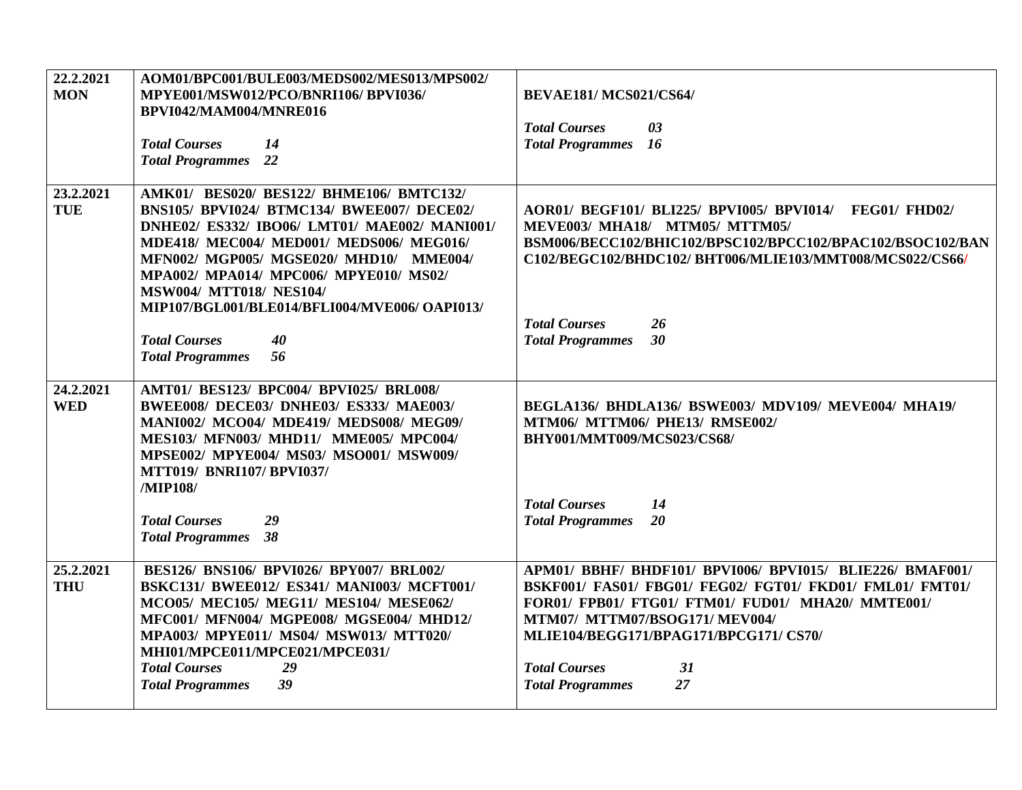| 22.2.2021<br><b>MON</b> | AOM01/BPC001/BULE003/MEDS002/MES013/MPS002/<br>MPYE001/MSW012/PCO/BNRI106/BPVI036/<br>BPVI042/MAM004/MNRE016<br><b>Total Courses</b><br>14<br><b>Total Programmes</b> 22                                                                                                                                                                                                                                                   | <b>BEVAE181/MCS021/CS64/</b><br><b>Total Courses</b><br>03<br><b>Total Programmes</b><br>16                                                                                                                                                                                                                            |
|-------------------------|----------------------------------------------------------------------------------------------------------------------------------------------------------------------------------------------------------------------------------------------------------------------------------------------------------------------------------------------------------------------------------------------------------------------------|------------------------------------------------------------------------------------------------------------------------------------------------------------------------------------------------------------------------------------------------------------------------------------------------------------------------|
| 23.2.2021<br><b>TUE</b> | AMK01/ BES020/ BES122/ BHME106/ BMTC132/<br>BNS105/ BPVI024/ BTMC134/ BWEE007/ DECE02/<br>DNHE02/ ES332/ IBO06/ LMT01/ MAE002/ MANI001/<br>MDE418/ MEC004/ MED001/ MEDS006/ MEG016/<br>MFN002/ MGP005/ MGSE020/ MHD10/ MME004/<br>MPA002/ MPA014/ MPC006/ MPYE010/ MS02/<br><b>MSW004/ MTT018/ NES104/</b><br>MIP107/BGL001/BLE014/BFLI004/MVE006/ OAPI013/<br><b>Total Courses</b><br>40<br>56<br><b>Total Programmes</b> | AOR01/ BEGF101/ BLI225/ BPVI005/ BPVI014/<br>FEG01/FHD02/<br><b>MEVE003/ MHA18/ MTM05/ MTTM05/</b><br>BSM006/BECC102/BHIC102/BPSC102/BPCC102/BPAC102/BSOC102/BAN<br>C102/BEGC102/BHDC102/ BHT006/MLIE103/MMT008/MCS022/CS66/<br><b>Total Courses</b><br>26<br>30<br><b>Total Programmes</b>                            |
| 24.2.2021<br><b>WED</b> | AMT01/ BES123/ BPC004/ BPVI025/ BRL008/<br>BWEE008/ DECE03/ DNHE03/ ES333/ MAE003/<br>MANI002/ MCO04/ MDE419/ MEDS008/ MEG09/<br>MES103/ MFN003/ MHD11/ MME005/ MPC004/<br>MPSE002/ MPYE004/ MS03/ MSO001/ MSW009/<br><b>MTT019/ BNRI107/ BPVI037/</b><br>/MIP108/<br><b>Total Courses</b><br>29<br>38<br><b>Total Programmes</b>                                                                                          | BEGLA136/ BHDLA136/ BSWE003/ MDV109/ MEVE004/ MHA19/<br>MTM06/ MTTM06/ PHE13/ RMSE002/<br>BHY001/MMT009/MCS023/CS68/<br><b>Total Courses</b><br>14<br>20<br><b>Total Programmes</b>                                                                                                                                    |
| 25.2.2021<br><b>THU</b> | BES126/ BNS106/ BPVI026/ BPY007/ BRL002/<br>BSKC131/ BWEE012/ ES341/ MANI003/ MCFT001/<br>MCO05/ MEC105/ MEG11/ MES104/ MESE062/<br>MFC001/ MFN004/ MGPE008/ MGSE004/ MHD12/<br>MPA003/ MPYE011/ MS04/ MSW013/ MTT020/<br>MHI01/MPCE011/MPCE021/MPCE031/<br><b>Total Courses</b><br>29<br>39<br><b>Total Programmes</b>                                                                                                    | APM01/ BBHF/ BHDF101/ BPVI006/ BPVI015/ BLIE226/ BMAF001/<br>BSKF001/ FAS01/ FBG01/ FEG02/ FGT01/ FKD01/ FML01/ FMT01/<br>FOR01/ FPB01/ FTG01/ FTM01/ FUD01/ MHA20/ MMTE001/<br>MTM07/ MTTM07/BSOG171/ MEV004/<br>MLIE104/BEGG171/BPAG171/BPCG171/CS70/<br><b>Total Courses</b><br>31<br><b>Total Programmes</b><br>27 |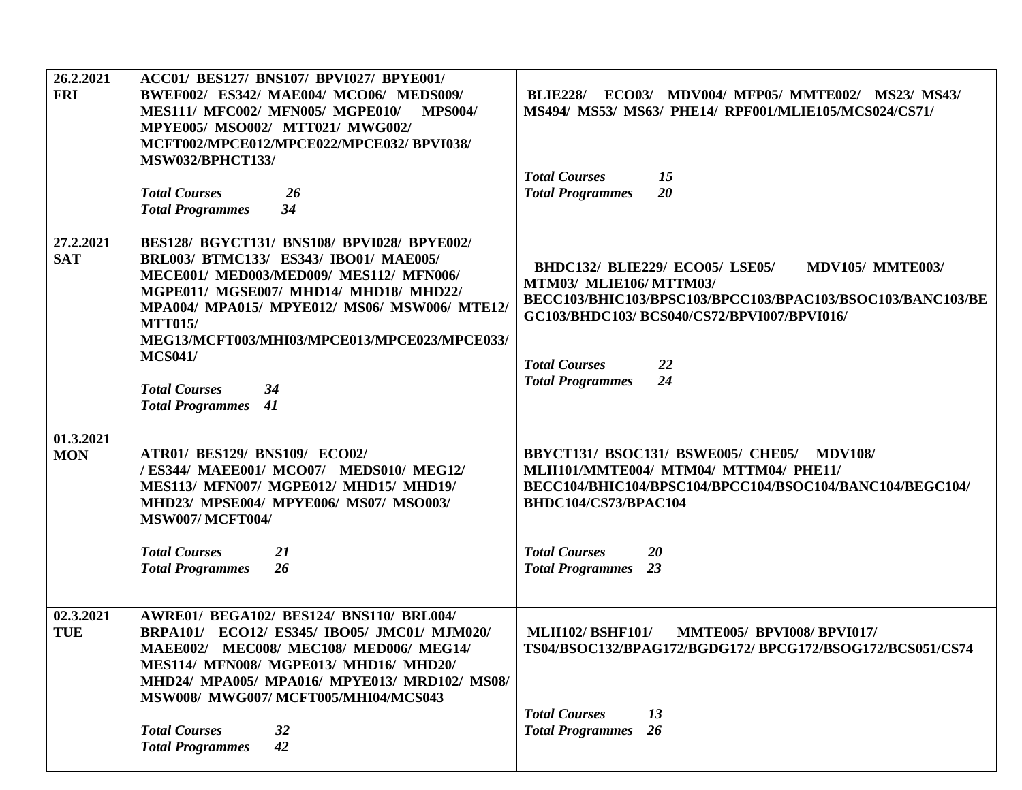| 26.2.2021<br><b>FRI</b> | ACC01/ BES127/ BNS107/ BPVI027/ BPYE001/<br>BWEF002/ ES342/ MAE004/ MCO06/ MEDS009/<br><b>MES111/ MFC002/ MFN005/ MGPE010/</b><br><b>MPS004/</b><br>MPYE005/ MSO002/ MTT021/ MWG002/<br>MCFT002/MPCE012/MPCE022/MPCE032/BPVI038/<br><b>MSW032/BPHCT133/</b><br><b>Total Courses</b><br>26<br>34<br><b>Total Programmes</b>                                                     | ECO03/ MDV004/ MFP05/ MMTE002/ MS23/ MS43/<br><b>BLIE228/</b><br>MS494/ MS53/ MS63/ PHE14/ RPF001/MLIE105/MCS024/CS71/<br><b>Total Courses</b><br>15<br>20<br><b>Total Programmes</b>                                                                                   |
|-------------------------|--------------------------------------------------------------------------------------------------------------------------------------------------------------------------------------------------------------------------------------------------------------------------------------------------------------------------------------------------------------------------------|-------------------------------------------------------------------------------------------------------------------------------------------------------------------------------------------------------------------------------------------------------------------------|
| 27.2.2021<br><b>SAT</b> | BES128/ BGYCT131/ BNS108/ BPVI028/ BPYE002/<br>BRL003/ BTMC133/ ES343/ IBO01/ MAE005/<br>MECE001/ MED003/MED009/ MES112/ MFN006/<br>MGPE011/ MGSE007/ MHD14/ MHD18/ MHD22/<br>MPA004/ MPA015/ MPYE012/ MS06/ MSW006/ MTE12/<br><b>MTT015/</b><br>MEG13/MCFT003/MHI03/MPCE013/MPCE023/MPCE033/<br><b>MCS041/</b><br><b>Total Courses</b><br>34<br>41<br><b>Total Programmes</b> | <b>BHDC132/ BLIE229/ ECO05/ LSE05/</b><br><b>MDV105/ MMTE003/</b><br>MTM03/ MLIE106/MTTM03/<br>BECC103/BHIC103/BPSC103/BPCC103/BPAC103/BSOC103/BANC103/BE<br>GC103/BHDC103/ BCS040/CS72/BPVI007/BPVI016/<br><b>Total Courses</b><br>22<br>24<br><b>Total Programmes</b> |
| 01.3.2021<br><b>MON</b> | ATR01/ BES129/ BNS109/ ECO02/<br>/ES344/ MAEE001/ MCO07/ MEDS010/ MEG12/<br><b>MES113/ MFN007/ MGPE012/ MHD15/ MHD19/</b><br>MHD23/ MPSE004/ MPYE006/ MS07/ MSO003/<br><b>MSW007/ MCFT004/</b><br><b>Total Courses</b><br><b>21</b><br><b>Total Programmes</b><br>26                                                                                                           | BBYCT131/ BSOC131/ BSWE005/ CHE05/<br><b>MDV108/</b><br>MLII101/MMTE004/ MTM04/ MTTM04/ PHE11/<br>BECC104/BHIC104/BPSC104/BPCC104/BSOC104/BANC104/BEGC104/<br>BHDC104/CS73/BPAC104<br><b>Total Courses</b><br>20<br><b>Total Programmes</b><br>23                       |
| 02.3.2021<br><b>TUE</b> | AWRE01/ BEGA102/ BES124/ BNS110/ BRL004/<br>BRPA101/ ECO12/ ES345/ IBO05/ JMC01/ MJM020/<br>MAEE002/ MEC008/ MEC108/ MED006/ MEG14/<br>MES114/ MFN008/ MGPE013/ MHD16/ MHD20/<br>MHD24/ MPA005/ MPA016/ MPYE013/ MRD102/ MS08/<br>MSW008/ MWG007/MCFT005/MHI04/MCS043<br><b>Total Courses</b><br>32<br>42<br><b>Total Programmes</b>                                           | <b>MMTE005/ BPVI008/ BPVI017/</b><br><b>MLII102/BSHF101/</b><br>TS04/BSOC132/BPAG172/BGDG172/BPCG172/BSOG172/BCS051/CS74<br><b>Total Courses</b><br>13<br><b>Total Programmes</b><br>26                                                                                 |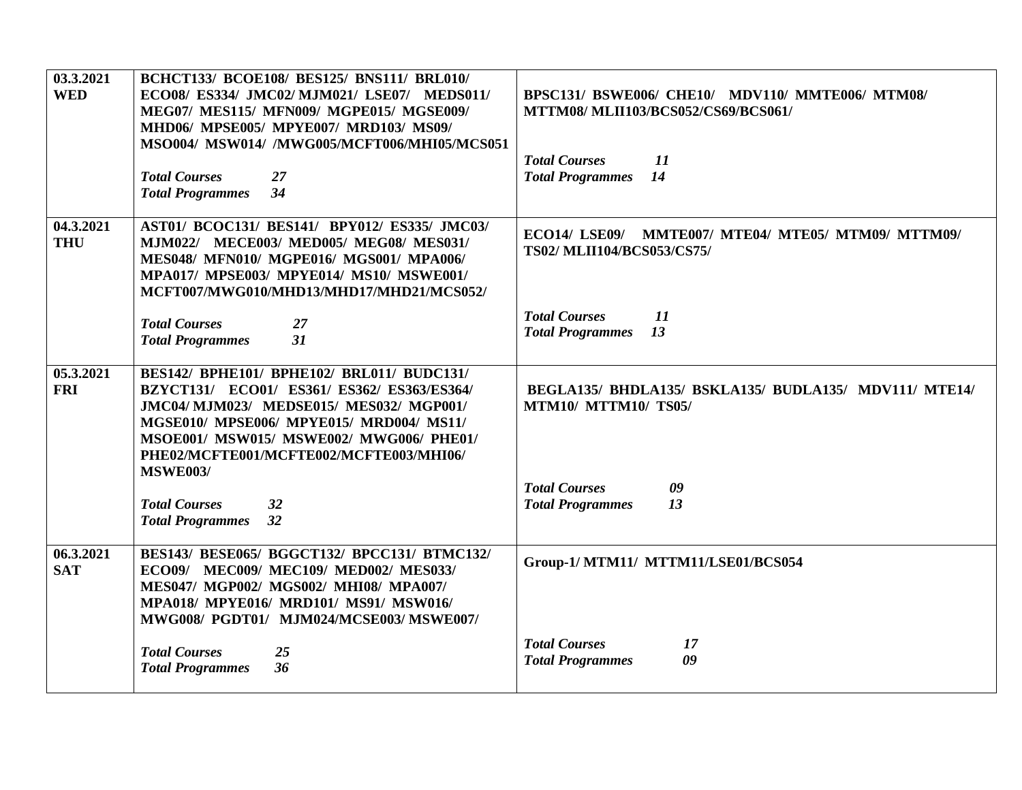| 03.3.2021<br><b>WED</b> | BCHCT133/ BCOE108/ BES125/ BNS111/ BRL010/<br>ECO08/ ES334/ JMC02/ MJM021/ LSE07/ MEDS011/<br>MEG07/ MES115/ MFN009/ MGPE015/ MGSE009/<br>MHD06/ MPSE005/ MPYE007/ MRD103/ MS09/<br>MSO004/ MSW014/ /MWG005/MCFT006/MHI05/MCS051<br><b>Total Courses</b><br>27<br>34<br><b>Total Programmes</b> | BPSC131/ BSWE006/ CHE10/ MDV110/ MMTE006/ MTM08/<br>MTTM08/ MLII103/BCS052/CS69/BCS061/<br><b>Total Courses</b><br>11<br>14<br><b>Total Programmes</b> |
|-------------------------|-------------------------------------------------------------------------------------------------------------------------------------------------------------------------------------------------------------------------------------------------------------------------------------------------|--------------------------------------------------------------------------------------------------------------------------------------------------------|
| 04.3.2021<br><b>THU</b> | AST01/ BCOC131/ BES141/ BPY012/ ES335/ JMC03/<br>MJM022/ MECE003/ MED005/ MEG08/ MES031/<br>MES048/ MFN010/ MGPE016/ MGS001/ MPA006/<br>MPA017/ MPSE003/ MPYE014/ MS10/ MSWE001/<br>MCFT007/MWG010/MHD13/MHD17/MHD21/MCS052/                                                                    | ECO14/ LSE09/ MMTE007/ MTE04/ MTE05/ MTM09/ MTTM09/<br>TS02/MLII104/BCS053/CS75/                                                                       |
|                         | <b>Total Courses</b><br>27<br>31<br><b>Total Programmes</b>                                                                                                                                                                                                                                     | <b>Total Courses</b><br>11<br>13<br><b>Total Programmes</b>                                                                                            |
| 05.3.2021<br><b>FRI</b> | BES142/ BPHE101/ BPHE102/ BRL011/ BUDC131/<br>BZYCT131/ ECO01/ ES361/ ES362/ ES363/ES364/<br>JMC04/ MJM023/ MEDSE015/ MES032/ MGP001/<br>MGSE010/ MPSE006/ MPYE015/ MRD004/ MS11/<br>MSOE001/ MSW015/ MSWE002/ MWG006/ PHE01/<br>PHE02/MCFTE001/MCFTE002/MCFTE003/MHI06/<br><b>MSWE003/</b>     | BEGLA135/ BHDLA135/ BSKLA135/ BUDLA135/ MDV111/ MTE14/<br><b>MTM10/ MTTM10/ TS05/</b>                                                                  |
|                         | <b>Total Courses</b><br>32<br>32<br><b>Total Programmes</b>                                                                                                                                                                                                                                     | <b>Total Courses</b><br>09<br><b>Total Programmes</b><br>13                                                                                            |
| 06.3.2021<br><b>SAT</b> | BES143/ BESE065/ BGGCT132/ BPCC131/ BTMC132/<br>ECO09/ MEC009/ MEC109/ MED002/ MES033/<br>MES047/ MGP002/ MGS002/ MHI08/ MPA007/<br>MPA018/ MPYE016/ MRD101/ MS91/ MSW016/<br>MWG008/ PGDT01/ MJM024/MCSE003/ MSWE007/                                                                          | Group-1/ MTM11/ MTTM11/LSE01/BCS054                                                                                                                    |
|                         | <b>Total Courses</b><br>25<br>36<br><b>Total Programmes</b>                                                                                                                                                                                                                                     | <b>Total Courses</b><br>17<br>09<br><b>Total Programmes</b>                                                                                            |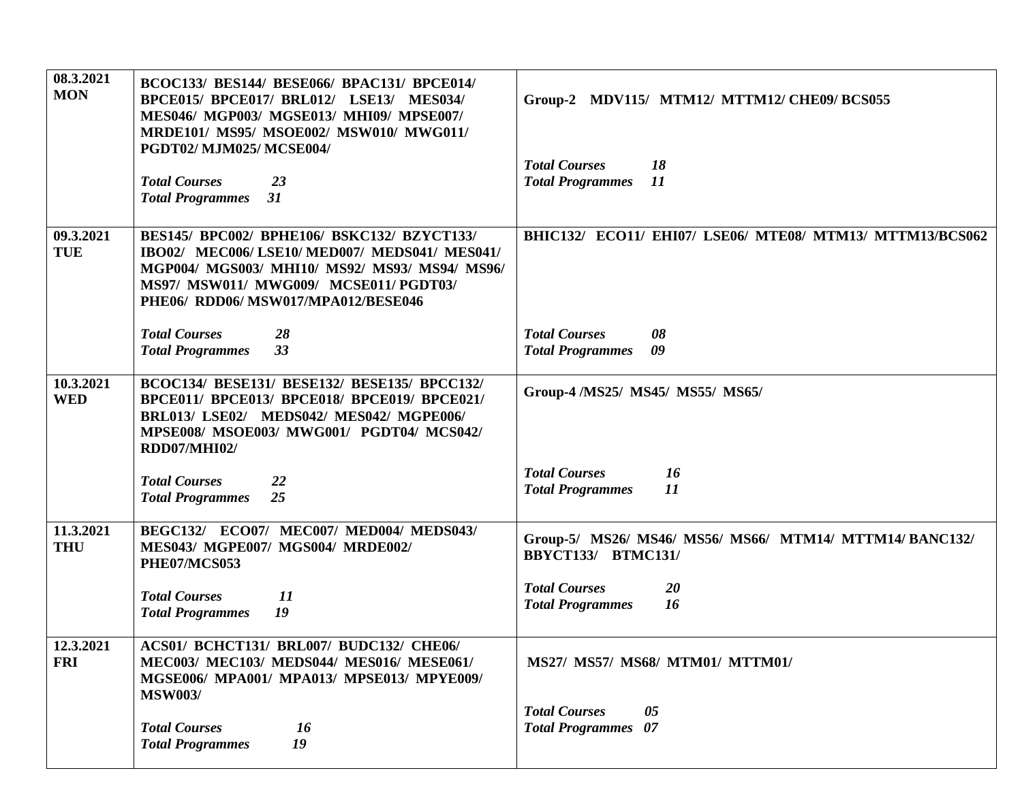| 08.3.2021<br><b>MON</b> | BCOC133/ BES144/ BESE066/ BPAC131/ BPCE014/<br>BPCE015/ BPCE017/ BRL012/ LSE13/ MES034/<br>MES046/ MGP003/ MGSE013/ MHI09/ MPSE007/<br>MRDE101/ MS95/ MSOE002/ MSW010/ MWG011/<br>PGDT02/MJM025/MCSE004/<br><b>Total Courses</b><br>23 | Group-2 MDV115/ MTM12/ MTTM12/ CHE09/ BCS055<br><b>Total Courses</b><br>18<br>11<br><b>Total Programmes</b> |
|-------------------------|----------------------------------------------------------------------------------------------------------------------------------------------------------------------------------------------------------------------------------------|-------------------------------------------------------------------------------------------------------------|
|                         | 31<br><b>Total Programmes</b>                                                                                                                                                                                                          |                                                                                                             |
| 09.3.2021<br><b>TUE</b> | <b>BES145/ BPC002/ BPHE106/ BSKC132/ BZYCT133/</b><br>IBO02/ MEC006/LSE10/MED007/MEDS041/MES041/<br>MGP004/ MGS003/ MHI10/ MS92/ MS93/ MS94/ MS96/<br>MS97/ MSW011/ MWG009/ MCSE011/ PGDT03/<br>PHE06/ RDD06/MSW017/MPA012/BESE046     | BHIC132/ ECO11/ EHI07/ LSE06/ MTE08/ MTM13/ MTTM13/BCS062                                                   |
|                         | <b>Total Courses</b><br>28<br>33<br><b>Total Programmes</b>                                                                                                                                                                            | <b>Total Courses</b><br>08<br><b>Total Programmes</b><br>09                                                 |
| 10.3.2021<br><b>WED</b> | BCOC134/ BESE131/ BESE132/ BESE135/ BPCC132/<br>BPCE011/ BPCE013/ BPCE018/ BPCE019/ BPCE021/<br>BRL013/ LSE02/ MEDS042/ MES042/ MGPE006/<br>MPSE008/ MSOE003/ MWG001/ PGDT04/ MCS042/<br><b>RDD07/MHI02/</b>                           | Group-4 /MS25/ MS45/ MS55/ MS65/                                                                            |
|                         | <b>Total Courses</b><br>22<br><b>Total Programmes</b><br>25                                                                                                                                                                            | <b>Total Courses</b><br>16<br>11<br><b>Total Programmes</b>                                                 |
| 11.3.2021<br><b>THU</b> | BEGC132/ ECO07/ MEC007/ MED004/ MEDS043/<br>MES043/ MGPE007/ MGS004/ MRDE002/<br>PHE07/MCS053                                                                                                                                          | Group-5/ MS26/ MS46/ MS56/ MS66/ MTM14/ MTTM14/ BANC132/<br><b>BBYCT133/ BTMC131/</b>                       |
|                         | <b>Total Courses</b><br>11<br>19<br><b>Total Programmes</b>                                                                                                                                                                            | <b>Total Courses</b><br>20<br>16<br><b>Total Programmes</b>                                                 |
| 12.3.2021<br><b>FRI</b> | ACS01/ BCHCT131/ BRL007/ BUDC132/ CHE06/<br><b>MEC003/ MEC103/ MEDS044/ MES016/ MESE061/</b><br>MGSE006/ MPA001/ MPA013/ MPSE013/ MPYE009/<br><b>MSW003/</b>                                                                           | MS27/ MS57/ MS68/ MTM01/ MTTM01/                                                                            |
|                         | <b>Total Courses</b><br>16<br>19<br><b>Total Programmes</b>                                                                                                                                                                            | <b>Total Courses</b><br>05<br><b>Total Programmes</b> 07                                                    |